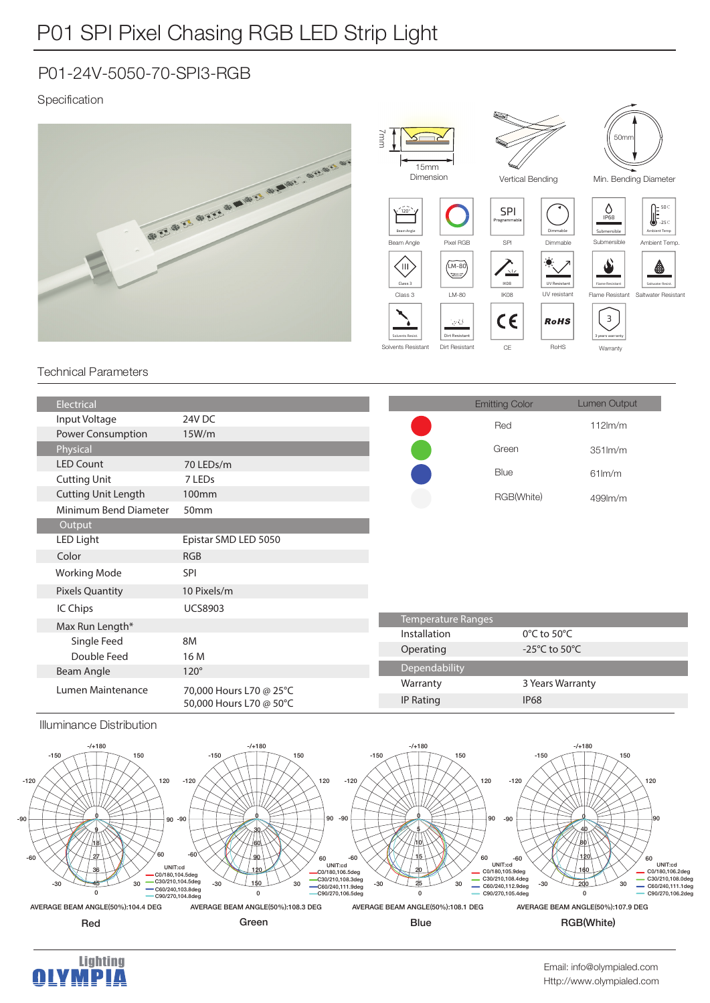## P01-24V-5050-70-SPI3-RGB

### Specification



#### Technical Parameters

| Electrical                 |                                                    |               | <b>Emitting Color</b>               | Lumen Output        |  |
|----------------------------|----------------------------------------------------|---------------|-------------------------------------|---------------------|--|
| Input Voltage              | 24V DC                                             |               | Red                                 | $112$ m/m           |  |
| Power Consumption          | 15W/m                                              |               |                                     |                     |  |
| Physical                   |                                                    |               | Green                               | $351$ $\text{Im/m}$ |  |
| <b>LED Count</b>           | 70 LEDs/m                                          |               | Blue                                |                     |  |
| <b>Cutting Unit</b>        | 7 LEDs                                             |               |                                     | $61$ lm/m           |  |
| <b>Cutting Unit Length</b> | 100 <sub>mm</sub>                                  |               | RGB(White)                          | 499lm/m             |  |
| Minimum Bend Diameter      | 50mm                                               |               |                                     |                     |  |
| Output                     |                                                    |               |                                     |                     |  |
| LED Light                  | Epistar SMD LED 5050                               |               |                                     |                     |  |
| Color                      | <b>RGB</b>                                         |               |                                     |                     |  |
| <b>Working Mode</b>        | SPI                                                |               |                                     |                     |  |
| <b>Pixels Quantity</b>     | 10 Pixels/m                                        |               |                                     |                     |  |
| IC Chips                   | <b>UCS8903</b>                                     |               |                                     |                     |  |
| Max Run Length*            |                                                    |               | Temperature Ranges                  |                     |  |
| Single Feed                | 8M                                                 | Installation  | $0^{\circ}$ C to 50 $^{\circ}$ C    |                     |  |
| Double Feed                | 16 M                                               | Operating     | -25 $^{\circ}$ C to 50 $^{\circ}$ C |                     |  |
| Beam Angle                 | $120^\circ$                                        | Dependability |                                     |                     |  |
| Lumen Maintenance          | 70,000 Hours L70 @ 25°C<br>50,000 Hours L70 @ 50°C | Warranty      | 3 Years Warranty                    |                     |  |
|                            |                                                    | IP Rating     | <b>IP68</b>                         |                     |  |
|                            |                                                    |               |                                     |                     |  |

#### Illuminance Distribution